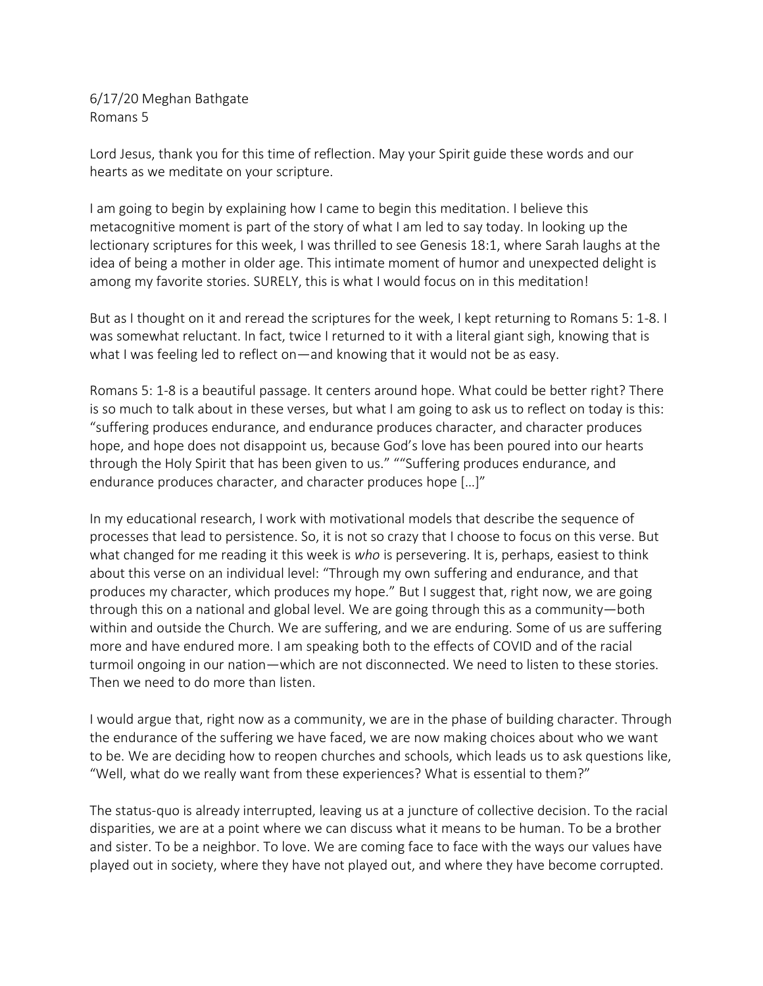6/17/20 Meghan Bathgate Romans 5

Lord Jesus, thank you for this time of reflection. May your Spirit guide these words and our hearts as we meditate on your scripture.

I am going to begin by explaining how I came to begin this meditation. I believe this metacognitive moment is part of the story of what I am led to say today. In looking up the lectionary scriptures for this week, I was thrilled to see Genesis 18:1, where Sarah laughs at the idea of being a mother in older age. This intimate moment of humor and unexpected delight is among my favorite stories. SURELY, this is what I would focus on in this meditation!

But as I thought on it and reread the scriptures for the week, I kept returning to Romans 5: 1-8. I was somewhat reluctant. In fact, twice I returned to it with a literal giant sigh, knowing that is what I was feeling led to reflect on—and knowing that it would not be as easy.

Romans 5: 1-8 is a beautiful passage. It centers around hope. What could be better right? There is so much to talk about in these verses, but what I am going to ask us to reflect on today is this: "suffering produces endurance, and endurance produces character, and character produces hope, and hope does not disappoint us, because God's love has been poured into our hearts through the Holy Spirit that has been given to us." ""Suffering produces endurance, and endurance produces character, and character produces hope […]"

In my educational research, I work with motivational models that describe the sequence of processes that lead to persistence. So, it is not so crazy that I choose to focus on this verse. But what changed for me reading it this week is *who* is persevering. It is, perhaps, easiest to think about this verse on an individual level: "Through my own suffering and endurance, and that produces my character, which produces my hope." But I suggest that, right now, we are going through this on a national and global level. We are going through this as a community—both within and outside the Church. We are suffering, and we are enduring. Some of us are suffering more and have endured more. I am speaking both to the effects of COVID and of the racial turmoil ongoing in our nation—which are not disconnected. We need to listen to these stories. Then we need to do more than listen.

I would argue that, right now as a community, we are in the phase of building character. Through the endurance of the suffering we have faced, we are now making choices about who we want to be. We are deciding how to reopen churches and schools, which leads us to ask questions like, "Well, what do we really want from these experiences? What is essential to them?"

The status-quo is already interrupted, leaving us at a juncture of collective decision. To the racial disparities, we are at a point where we can discuss what it means to be human. To be a brother and sister. To be a neighbor. To love. We are coming face to face with the ways our values have played out in society, where they have not played out, and where they have become corrupted.